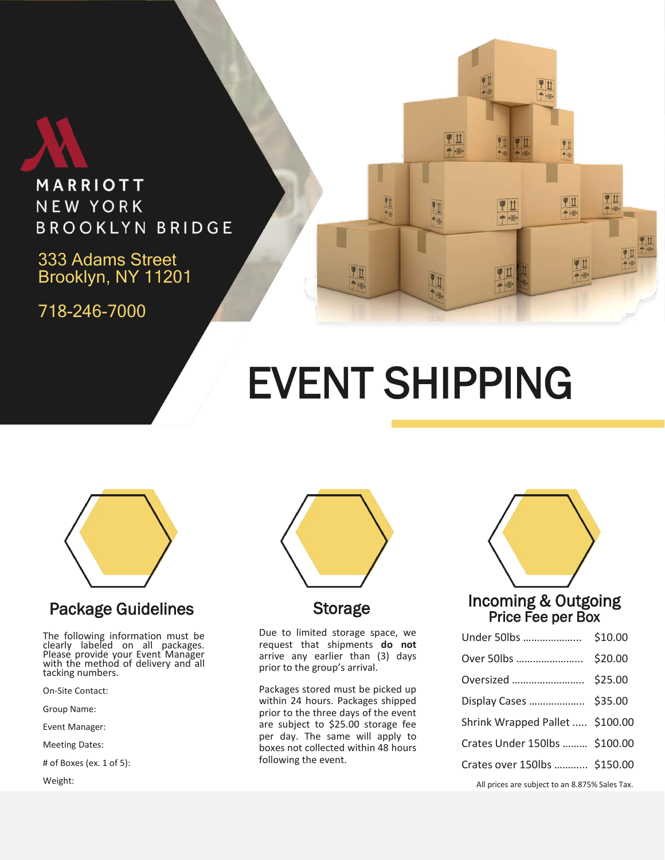

MARRIOTT NEW YORK **BROOKLYN BRIDGE** 

333 Adams Street Brooklyn, NY 11201

718-246-7000

## EVENT SHIPPING

Yü

민世

 $+104$ 

里世

7世

一個

민世

**Vit** 

千顺

甲基

 $\rightarrow$ 

リは

 $\overline{\phantom{a}}$ 

♥Ⅱ

一侧

甲丝



#### Package Guidelines

The following information must be clearly labeled on all packages. Please provide your Event Manager with the method of delivery and all tacking numbers.

On-Site Contact:

Group Name:

Event Manager:

Meeting Dates:

# of Boxes (ex. 1 of 5):

Weight:



#### Storage

Due to limited storage space, we request that shipments **do not** arrive any earlier than (3) days prior to the group's arrival.

Packages stored must be picked up within 24 hours. Packages shipped prior to the three days of the event are subject to \$25.00 storage fee per day. The same will apply to boxes not collected within 48 hours following the event.



| Display Cases  \$35.00                                                                |  |
|---------------------------------------------------------------------------------------|--|
| Shrink Wrapped Pallet  \$100.00                                                       |  |
| Crates Under 150lbs  \$100.00                                                         |  |
| Crates over 150lbs  \$150.00                                                          |  |
| All $\alpha$ decreases to be a state of $\alpha$ of $\alpha$ of $\alpha$ and $\alpha$ |  |

All prices are subject to an 8.875% Sales Tax.